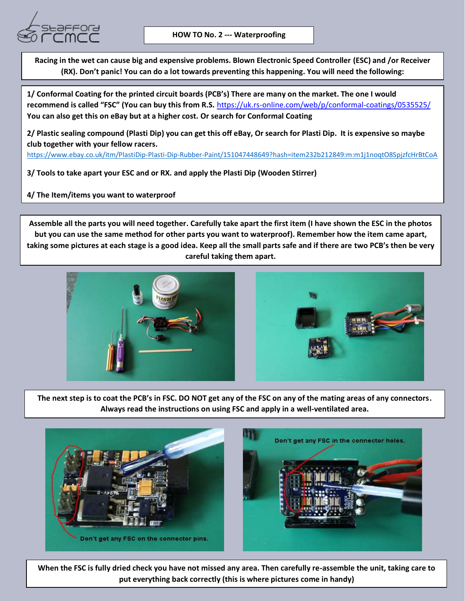

**Racing in the wet can cause big and expensive problems. Blown Electronic Speed Controller (ESC) and /or Receiver (RX). Don't panic! You can do a lot towards preventing this happening. You will need the following:**

**1/ Conformal Coating for the printed circuit boards (PCB's) There are many on the market. The one I would recommend is called "FSC" (You can buy this from R.S.** <https://uk.rs-online.com/web/p/conformal-coatings/0535525/> **You can also get this on eBay but at a higher cost. Or search for Conformal Coating**

**2/ Plastic sealing compound (Plasti Dip) you can get this off eBay, Or search for Plasti Dip. It is expensive so maybe club together with your fellow racers.**

<https://www.ebay.co.uk/itm/PlastiDip-Plasti-Dip-Rubber-Paint/151047448649?hash=item232b212849:m:m1j1noqtO8SpjzfcHrBtCoA>

**3/ Tools to take apart your ESC and or RX. and apply the Plasti Dip (Wooden Stirrer)**

**4/ The Item/items you want to waterproof**

**Assemble all the parts you will need together. Carefully take apart the first item (I have shown the ESC in the photos but you can use the same method for other parts you want to waterproof). Remember how the item came apart, taking some pictures at each stage is a good idea. Keep all the small parts safe and if there are two PCB's then be very careful taking them apart.**



**The next step is to coat the PCB's in FSC. DO NOT get any of the FSC on any of the mating areas of any connectors. Always read the instructions on using FSC and apply in a well-ventilated area.**



**When the FSC is fully dried check you have not missed any area. Then carefully re-assemble the unit, taking care to put everything back correctly (this is where pictures come in handy)**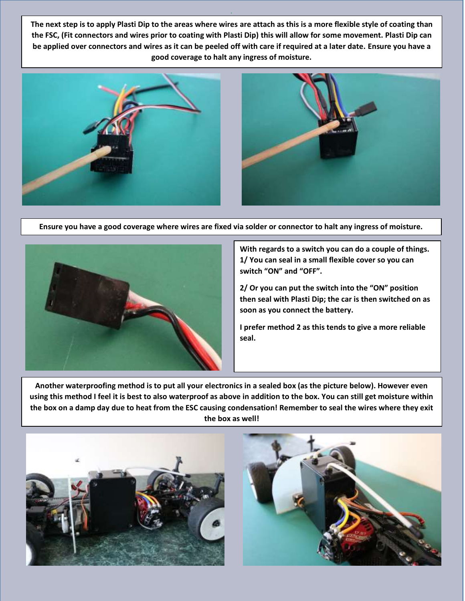**The next step is to apply Plasti Dip to the areas where wires are attach as this is a more flexible style of coating than the FSC, (Fit connectors and wires prior to coating with Plasti Dip) this will allow for some movement. Plasti Dip can be applied over connectors and wires as it can be peeled off with care if required at a later date. Ensure you have a good coverage to halt any ingress of moisture.** 



**Ensure you have a good coverage where wires are fixed via solder or connector to halt any ingress of moisture.** 



**With regards to a switch you can do a couple of things. 1/ You can seal in a small flexible cover so you can switch "ON" and "OFF".** 

**2/ Or you can put the switch into the "ON" position then seal with Plasti Dip; the car is then switched on as soon as you connect the battery.**

**I prefer method 2 as this tends to give a more reliable seal.**

**Another waterproofing method is to put all your electronics in a sealed box (as the picture below). However even using this method I feel it is best to also waterproof as above in addition to the box. You can still get moisture within the box on a damp day due to heat from the ESC causing condensation! Remember to seal the wires where they exit the box as well!**